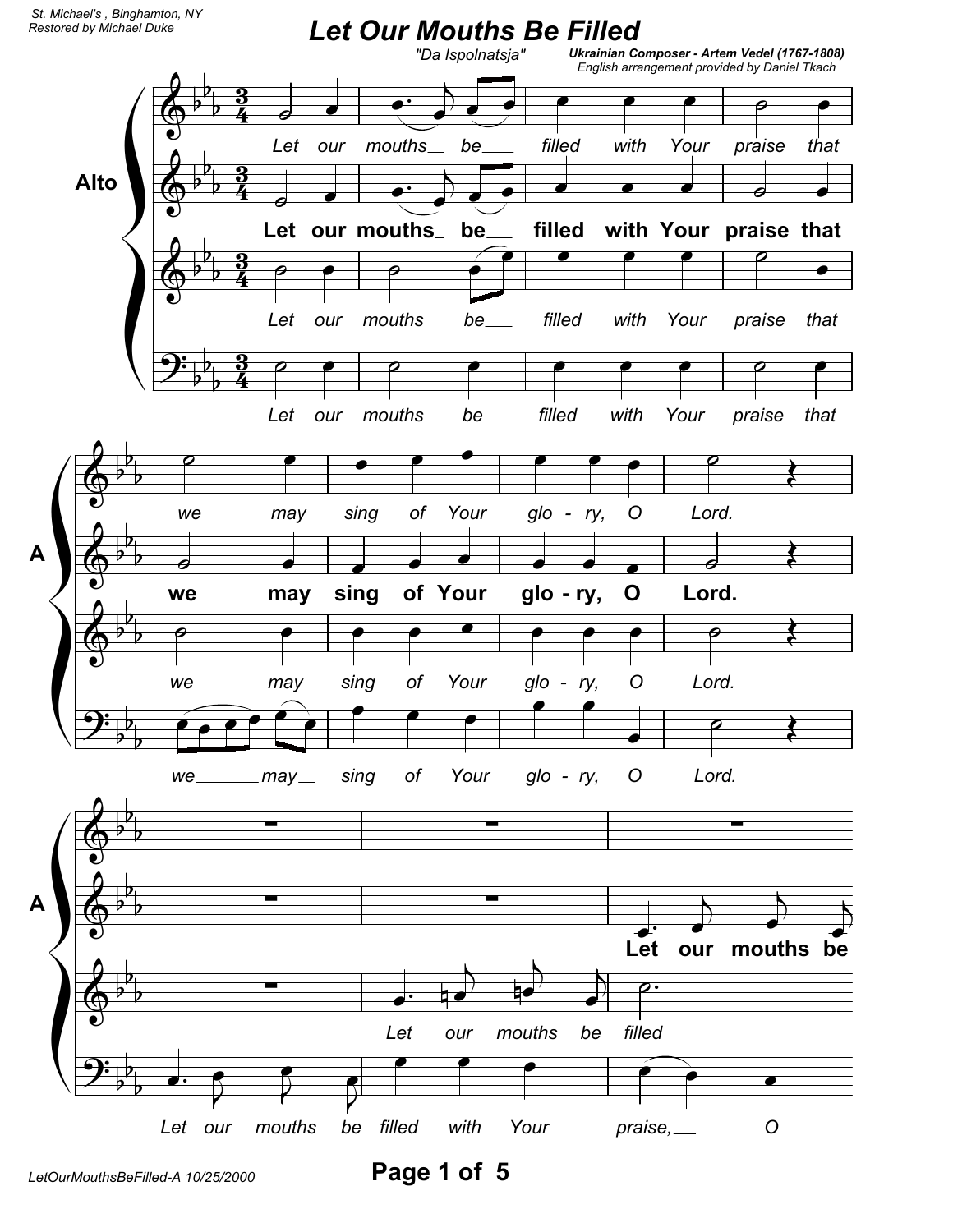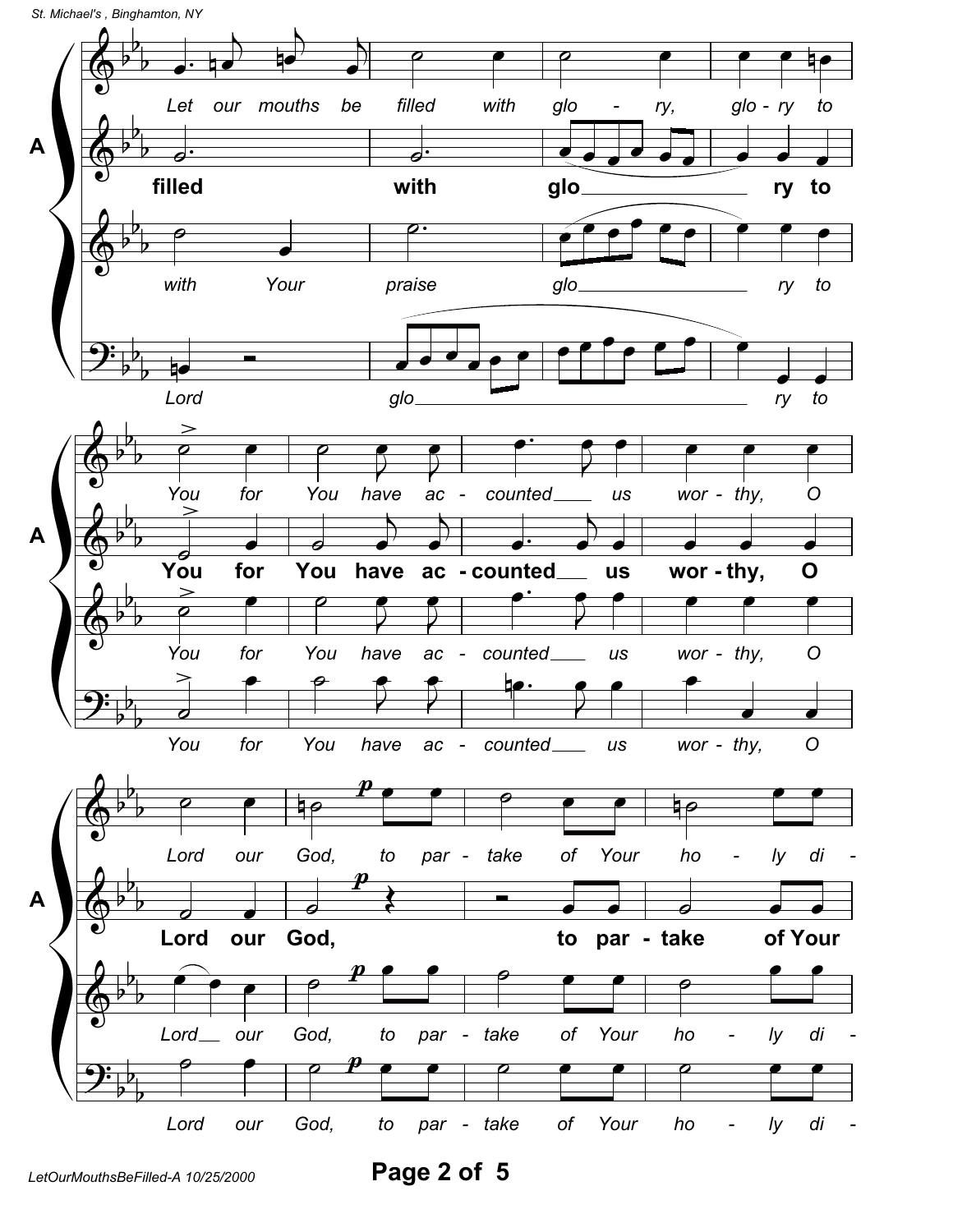St. Michael's, Binghamton, NY



Page 2 of 5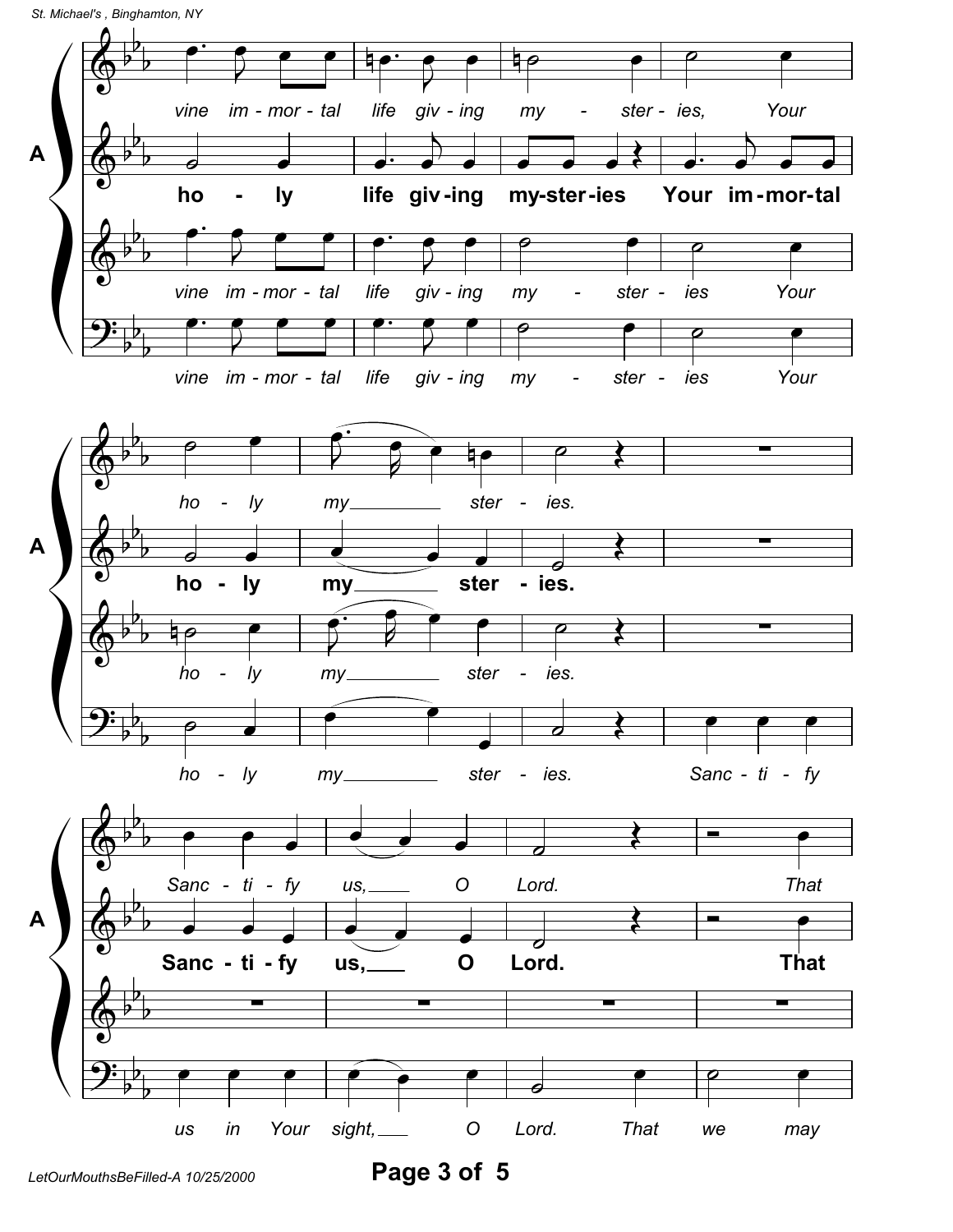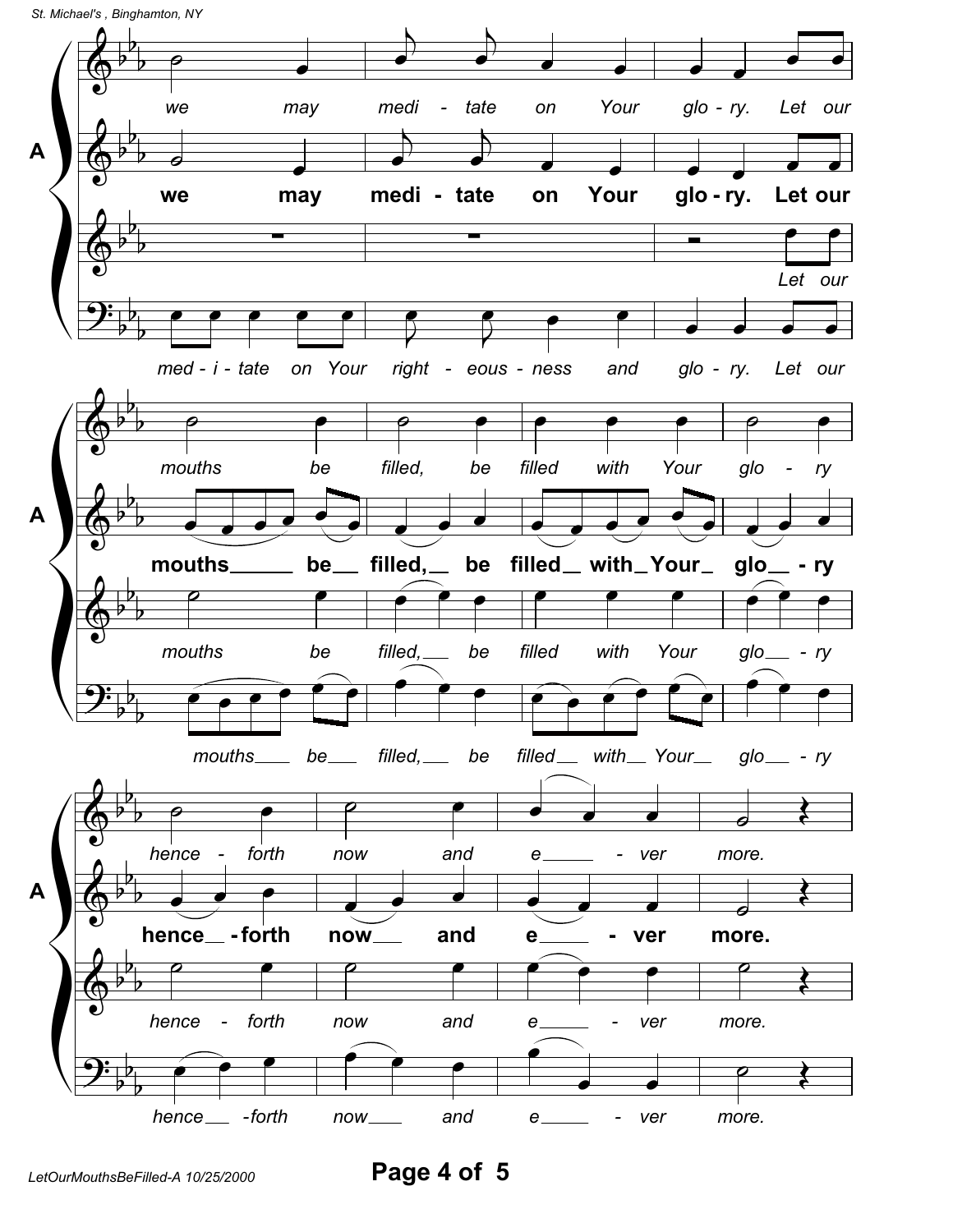*St. Michael's , Binghamton, NY*